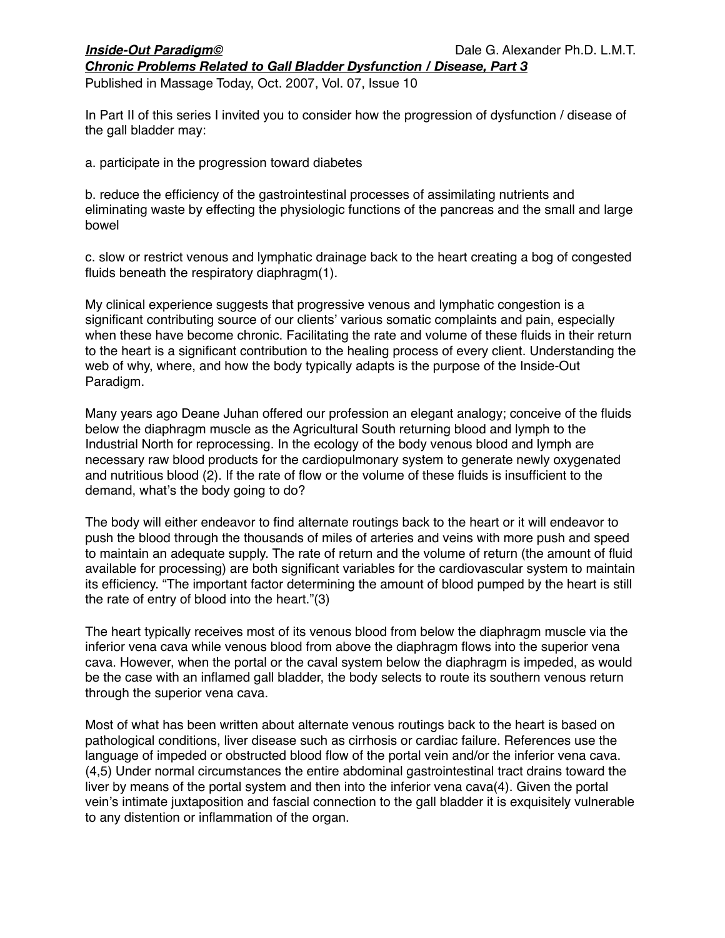*Chronic Problems Related to Gall Bladder Dysfunction / Disease, Part 3*

Published in Massage Today, Oct. 2007, Vol. 07, Issue 10

In Part II of this series I invited you to consider how the progression of dysfunction / disease of the gall bladder may:

a. participate in the progression toward diabetes

b. reduce the efficiency of the gastrointestinal processes of assimilating nutrients and eliminating waste by effecting the physiologic functions of the pancreas and the small and large bowel

c. slow or restrict venous and lymphatic drainage back to the heart creating a bog of congested fluids beneath the respiratory diaphragm(1).

My clinical experience suggests that progressive venous and lymphatic congestion is a significant contributing source of our clients' various somatic complaints and pain, especially when these have become chronic. Facilitating the rate and volume of these fluids in their return to the heart is a significant contribution to the healing process of every client. Understanding the web of why, where, and how the body typically adapts is the purpose of the Inside-Out Paradigm.

Many years ago Deane Juhan offered our profession an elegant analogy; conceive of the fluids below the diaphragm muscle as the Agricultural South returning blood and lymph to the Industrial North for reprocessing. In the ecology of the body venous blood and lymph are necessary raw blood products for the cardiopulmonary system to generate newly oxygenated and nutritious blood (2). If the rate of flow or the volume of these fluids is insufficient to the demand, what's the body going to do?

The body will either endeavor to find alternate routings back to the heart or it will endeavor to push the blood through the thousands of miles of arteries and veins with more push and speed to maintain an adequate supply. The rate of return and the volume of return (the amount of fluid available for processing) are both significant variables for the cardiovascular system to maintain its efficiency. "The important factor determining the amount of blood pumped by the heart is still the rate of entry of blood into the heart."(3)

The heart typically receives most of its venous blood from below the diaphragm muscle via the inferior vena cava while venous blood from above the diaphragm flows into the superior vena cava. However, when the portal or the caval system below the diaphragm is impeded, as would be the case with an inflamed gall bladder, the body selects to route its southern venous return through the superior vena cava.

Most of what has been written about alternate venous routings back to the heart is based on pathological conditions, liver disease such as cirrhosis or cardiac failure. References use the language of impeded or obstructed blood flow of the portal vein and/or the inferior vena cava. (4,5) Under normal circumstances the entire abdominal gastrointestinal tract drains toward the liver by means of the portal system and then into the inferior vena cava(4). Given the portal vein's intimate juxtaposition and fascial connection to the gall bladder it is exquisitely vulnerable to any distention or inflammation of the organ.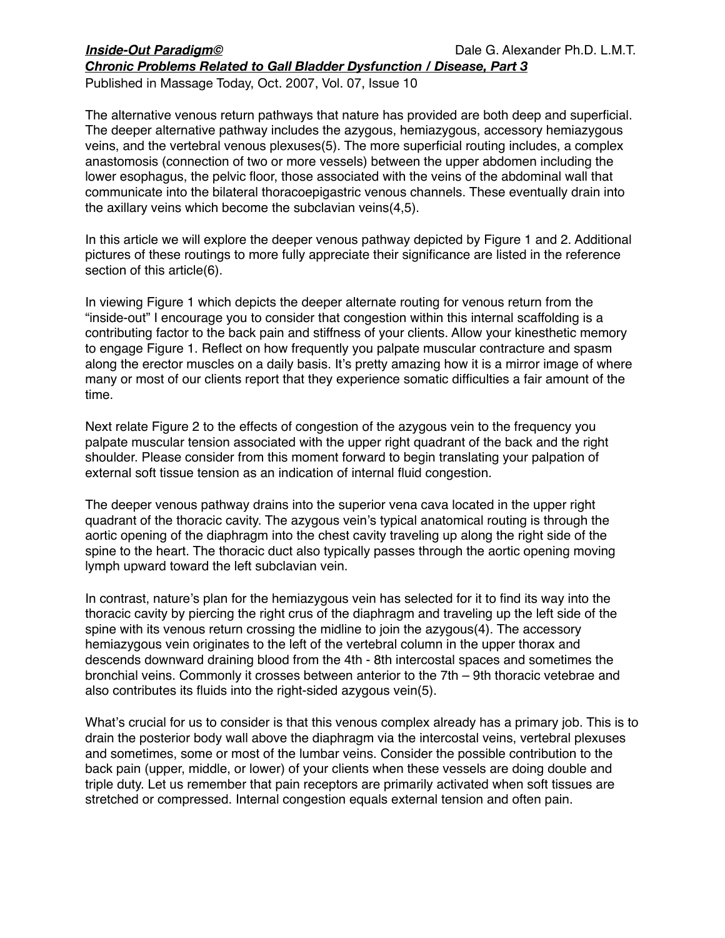## *Inside-Out Paradigm©* 
Dale G. Alexander Ph.D. L.M.T. *Chronic Problems Related to Gall Bladder Dysfunction / Disease, Part 3*

Published in Massage Today, Oct. 2007, Vol. 07, Issue 10

The alternative venous return pathways that nature has provided are both deep and superficial. The deeper alternative pathway includes the azygous, hemiazygous, accessory hemiazygous veins, and the vertebral venous plexuses(5). The more superficial routing includes, a complex anastomosis (connection of two or more vessels) between the upper abdomen including the lower esophagus, the pelvic floor, those associated with the veins of the abdominal wall that communicate into the bilateral thoracoepigastric venous channels. These eventually drain into the axillary veins which become the subclavian veins(4,5).

In this article we will explore the deeper venous pathway depicted by Figure 1 and 2. Additional pictures of these routings to more fully appreciate their significance are listed in the reference section of this article(6).

In viewing Figure 1 which depicts the deeper alternate routing for venous return from the "inside-out" I encourage you to consider that congestion within this internal scaffolding is a contributing factor to the back pain and stiffness of your clients. Allow your kinesthetic memory to engage Figure 1. Reflect on how frequently you palpate muscular contracture and spasm along the erector muscles on a daily basis. It's pretty amazing how it is a mirror image of where many or most of our clients report that they experience somatic difficulties a fair amount of the time.

Next relate Figure 2 to the effects of congestion of the azygous vein to the frequency you palpate muscular tension associated with the upper right quadrant of the back and the right shoulder. Please consider from this moment forward to begin translating your palpation of external soft tissue tension as an indication of internal fluid congestion.

The deeper venous pathway drains into the superior vena cava located in the upper right quadrant of the thoracic cavity. The azygous vein's typical anatomical routing is through the aortic opening of the diaphragm into the chest cavity traveling up along the right side of the spine to the heart. The thoracic duct also typically passes through the aortic opening moving lymph upward toward the left subclavian vein.

In contrast, nature's plan for the hemiazygous vein has selected for it to find its way into the thoracic cavity by piercing the right crus of the diaphragm and traveling up the left side of the spine with its venous return crossing the midline to join the azygous(4). The accessory hemiazygous vein originates to the left of the vertebral column in the upper thorax and descends downward draining blood from the 4th - 8th intercostal spaces and sometimes the bronchial veins. Commonly it crosses between anterior to the 7th – 9th thoracic vetebrae and also contributes its fluids into the right-sided azygous vein(5).

What's crucial for us to consider is that this venous complex already has a primary job. This is to drain the posterior body wall above the diaphragm via the intercostal veins, vertebral plexuses and sometimes, some or most of the lumbar veins. Consider the possible contribution to the back pain (upper, middle, or lower) of your clients when these vessels are doing double and triple duty. Let us remember that pain receptors are primarily activated when soft tissues are stretched or compressed. Internal congestion equals external tension and often pain.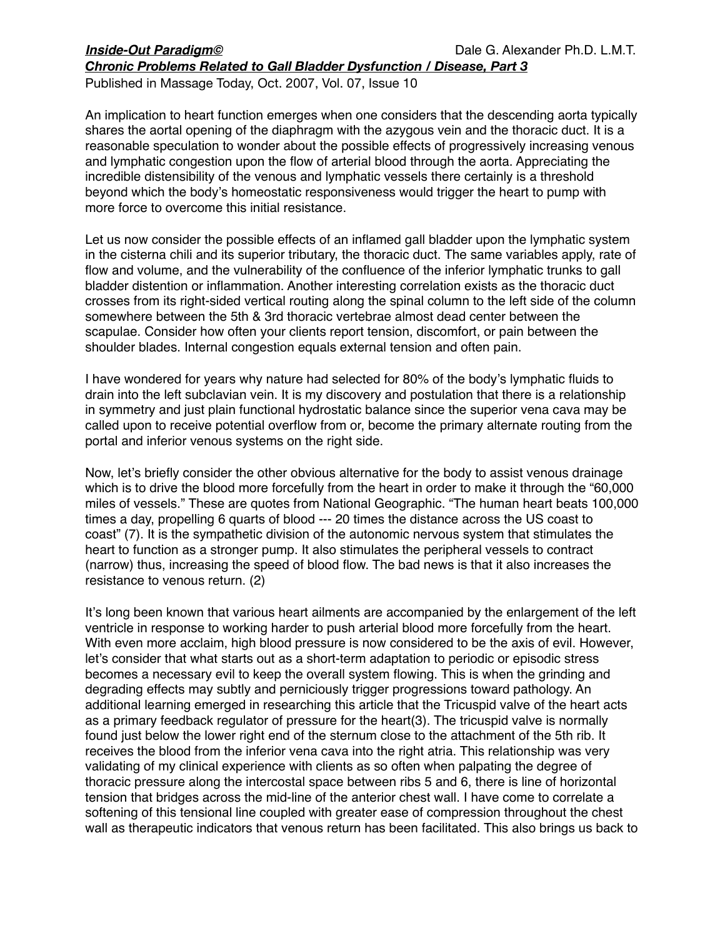## *Inside-Out Paradigm©* 
Dale G. Alexander Ph.D. L.M.T. *Chronic Problems Related to Gall Bladder Dysfunction / Disease, Part 3*

Published in Massage Today, Oct. 2007, Vol. 07, Issue 10

An implication to heart function emerges when one considers that the descending aorta typically shares the aortal opening of the diaphragm with the azygous vein and the thoracic duct. It is a reasonable speculation to wonder about the possible effects of progressively increasing venous and lymphatic congestion upon the flow of arterial blood through the aorta. Appreciating the incredible distensibility of the venous and lymphatic vessels there certainly is a threshold beyond which the body's homeostatic responsiveness would trigger the heart to pump with more force to overcome this initial resistance.

Let us now consider the possible effects of an inflamed gall bladder upon the lymphatic system in the cisterna chili and its superior tributary, the thoracic duct. The same variables apply, rate of flow and volume, and the vulnerability of the confluence of the inferior lymphatic trunks to gall bladder distention or inflammation. Another interesting correlation exists as the thoracic duct crosses from its right-sided vertical routing along the spinal column to the left side of the column somewhere between the 5th & 3rd thoracic vertebrae almost dead center between the scapulae. Consider how often your clients report tension, discomfort, or pain between the shoulder blades. Internal congestion equals external tension and often pain.

I have wondered for years why nature had selected for 80% of the body's lymphatic fluids to drain into the left subclavian vein. It is my discovery and postulation that there is a relationship in symmetry and just plain functional hydrostatic balance since the superior vena cava may be called upon to receive potential overflow from or, become the primary alternate routing from the portal and inferior venous systems on the right side.

Now, let's briefly consider the other obvious alternative for the body to assist venous drainage which is to drive the blood more forcefully from the heart in order to make it through the "60,000 miles of vessels." These are quotes from National Geographic. "The human heart beats 100,000 times a day, propelling 6 quarts of blood --- 20 times the distance across the US coast to coast" (7). It is the sympathetic division of the autonomic nervous system that stimulates the heart to function as a stronger pump. It also stimulates the peripheral vessels to contract (narrow) thus, increasing the speed of blood flow. The bad news is that it also increases the resistance to venous return. (2)

It's long been known that various heart ailments are accompanied by the enlargement of the left ventricle in response to working harder to push arterial blood more forcefully from the heart. With even more acclaim, high blood pressure is now considered to be the axis of evil. However, let's consider that what starts out as a short-term adaptation to periodic or episodic stress becomes a necessary evil to keep the overall system flowing. This is when the grinding and degrading effects may subtly and perniciously trigger progressions toward pathology. An additional learning emerged in researching this article that the Tricuspid valve of the heart acts as a primary feedback regulator of pressure for the heart(3). The tricuspid valve is normally found just below the lower right end of the sternum close to the attachment of the 5th rib. It receives the blood from the inferior vena cava into the right atria. This relationship was very validating of my clinical experience with clients as so often when palpating the degree of thoracic pressure along the intercostal space between ribs 5 and 6, there is line of horizontal tension that bridges across the mid-line of the anterior chest wall. I have come to correlate a softening of this tensional line coupled with greater ease of compression throughout the chest wall as therapeutic indicators that venous return has been facilitated. This also brings us back to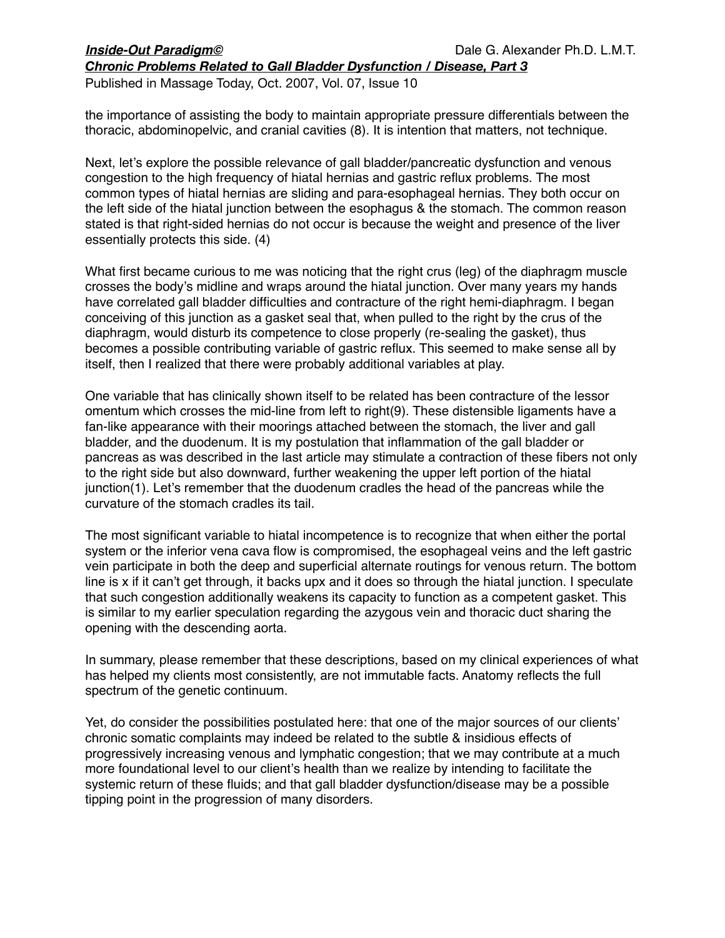# *Inside-Out Paradigm©* 
Dale G. Alexander Ph.D. L.M.T.

*Chronic Problems Related to Gall Bladder Dysfunction / Disease, Part 3* Published in Massage Today, Oct. 2007, Vol. 07, Issue 10

the importance of assisting the body to maintain appropriate pressure differentials between the thoracic, abdominopelvic, and cranial cavities (8). It is intention that matters, not technique.

Next, let's explore the possible relevance of gall bladder/pancreatic dysfunction and venous congestion to the high frequency of hiatal hernias and gastric reflux problems. The most common types of hiatal hernias are sliding and para-esophageal hernias. They both occur on the left side of the hiatal junction between the esophagus & the stomach. The common reason stated is that right-sided hernias do not occur is because the weight and presence of the liver essentially protects this side. (4)

What first became curious to me was noticing that the right crus (leg) of the diaphragm muscle crosses the body's midline and wraps around the hiatal junction. Over many years my hands have correlated gall bladder difficulties and contracture of the right hemi-diaphragm. I began conceiving of this junction as a gasket seal that, when pulled to the right by the crus of the diaphragm, would disturb its competence to close properly (re-sealing the gasket), thus becomes a possible contributing variable of gastric reflux. This seemed to make sense all by itself, then I realized that there were probably additional variables at play.

One variable that has clinically shown itself to be related has been contracture of the lessor omentum which crosses the mid-line from left to right(9). These distensible ligaments have a fan-like appearance with their moorings attached between the stomach, the liver and gall bladder, and the duodenum. It is my postulation that inflammation of the gall bladder or pancreas as was described in the last article may stimulate a contraction of these fibers not only to the right side but also downward, further weakening the upper left portion of the hiatal junction(1). Let's remember that the duodenum cradles the head of the pancreas while the curvature of the stomach cradles its tail.

The most significant variable to hiatal incompetence is to recognize that when either the portal system or the inferior vena cava flow is compromised, the esophageal veins and the left gastric vein participate in both the deep and superficial alternate routings for venous return. The bottom line is x if it can't get through, it backs upx and it does so through the hiatal junction. I speculate that such congestion additionally weakens its capacity to function as a competent gasket. This is similar to my earlier speculation regarding the azygous vein and thoracic duct sharing the opening with the descending aorta.

In summary, please remember that these descriptions, based on my clinical experiences of what has helped my clients most consistently, are not immutable facts. Anatomy reflects the full spectrum of the genetic continuum.

Yet, do consider the possibilities postulated here: that one of the major sources of our clients' chronic somatic complaints may indeed be related to the subtle & insidious effects of progressively increasing venous and lymphatic congestion; that we may contribute at a much more foundational level to our client's health than we realize by intending to facilitate the systemic return of these fluids; and that gall bladder dysfunction/disease may be a possible tipping point in the progression of many disorders.